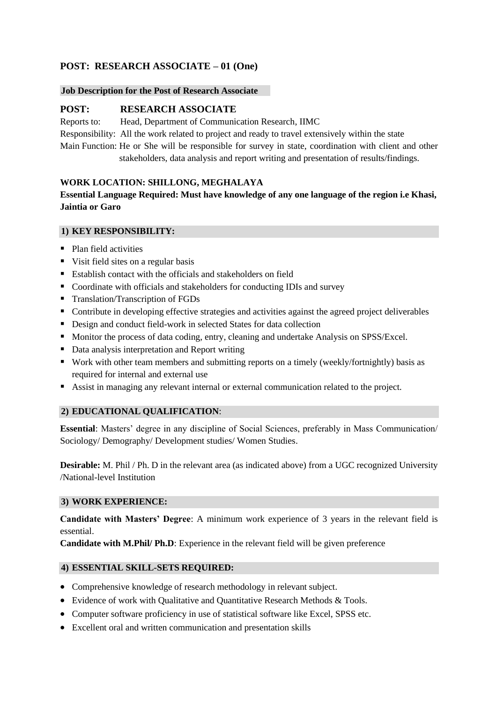# **POST: RESEARCH ASSOCIATE – 01 (One)**

#### **Job Description for the Post of Research Associate**

## **POST: RESEARCH ASSOCIATE**

Reports to: Head, Department of Communication Research, IIMC Responsibility: All the work related to project and ready to travel extensively within the state Main Function: He or She will be responsible for survey in state, coordination with client and other

stakeholders, data analysis and report writing and presentation of results/findings.

## **WORK LOCATION: SHILLONG, MEGHALAYA**

## **Essential Language Required: Must have knowledge of any one language of the region i.e Khasi, Jaintia or Garo**

## **1) KEY RESPONSIBILITY:**

- Plan field activities
- Visit field sites on a regular basis
- Establish contact with the officials and stakeholders on field
- Coordinate with officials and stakeholders for conducting IDIs and survey
- Translation/Transcription of FGDs
- Contribute in developing effective strategies and activities against the agreed project deliverables
- Design and conduct field-work in selected States for data collection
- Monitor the process of data coding, entry, cleaning and undertake Analysis on SPSS/Excel.
- Data analysis interpretation and Report writing
- Work with other team members and submitting reports on a timely (weekly/fortnightly) basis as required for internal and external use
- Assist in managing any relevant internal or external communication related to the project.

## **2) EDUCATIONAL QUALIFICATION**:

**Essential**: Masters' degree in any discipline of Social Sciences, preferably in Mass Communication/ Sociology/ Demography/ Development studies/ Women Studies.

**Desirable:** M. Phil / Ph. D in the relevant area (as indicated above) from a UGC recognized University /National-level Institution

## **3) WORK EXPERIENCE:**

**Candidate with Masters' Degree**: A minimum work experience of 3 years in the relevant field is essential.

**Candidate with M.Phil/ Ph.D**: Experience in the relevant field will be given preference

## **4) ESSENTIAL SKILL-SETS REQUIRED:**

- Comprehensive knowledge of research methodology in relevant subject.
- Evidence of work with Qualitative and Quantitative Research Methods & Tools.
- Computer software proficiency in use of statistical software like Excel, SPSS etc.
- Excellent oral and written communication and presentation skills